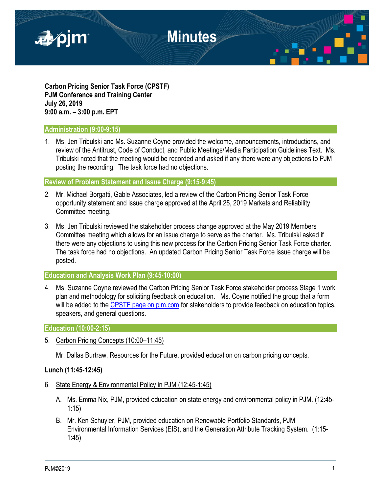

**Carbon Pricing Senior Task Force (CPSTF) PJM Conference and Training Center July 26, 2019 9:00 a.m. – 3:00 p.m. EPT**

### **Administration (9:00-9:15)**

1. Ms. Jen Tribulski and Ms. Suzanne Coyne provided the welcome, announcements, introductions, and review of the Antitrust, Code of Conduct, and Public Meetings/Media Participation Guidelines Text. Ms. Tribulski noted that the meeting would be recorded and asked if any there were any objections to PJM posting the recording. The task force had no objections.

### **Review of Problem Statement and Issue Charge (9:15-9:45)**

- 2. Mr. Michael Borgatti, Gable Associates, led a review of the Carbon Pricing Senior Task Force opportunity statement and issue charge approved at the April 25, 2019 Markets and Reliability Committee meeting.
- 3. Ms. Jen Tribulski reviewed the stakeholder process change approved at the May 2019 Members Committee meeting which allows for an issue charge to serve as the charter. Ms. Tribulski asked if there were any objections to using this new process for the Carbon Pricing Senior Task Force charter. The task force had no objections. An updated Carbon Pricing Senior Task Force issue charge will be posted.

## **Education and Analysis Work Plan (9:45-10:00)**

4. Ms. Suzanne Coyne reviewed the Carbon Pricing Senior Task Force stakeholder process Stage 1 work plan and methodology for soliciting feedback on education. Ms. Coyne notified the group that a form will be added to the [CPSTF page on pjm.com](https://www.pjm.com/committees-and-groups/task-forces/cpstf.aspx) for stakeholders to provide feedback on education topics, speakers, and general questions.

#### **Education (10:00-2:15)**

5. Carbon Pricing Concepts (10:00–11:45)

Mr. Dallas Burtraw, Resources for the Future, provided education on carbon pricing concepts.

## **Lunch (11:45-12:45)**

- 6. State Energy & Environmental Policy in PJM (12:45-1:45)
	- A. Ms. Emma Nix, PJM, provided education on state energy and environmental policy in PJM. (12:45- 1:15)
	- B. Mr. Ken Schuyler, PJM, provided education on Renewable Portfolio Standards, PJM Environmental Information Services (EIS), and the Generation Attribute Tracking System. (1:15- 1:45)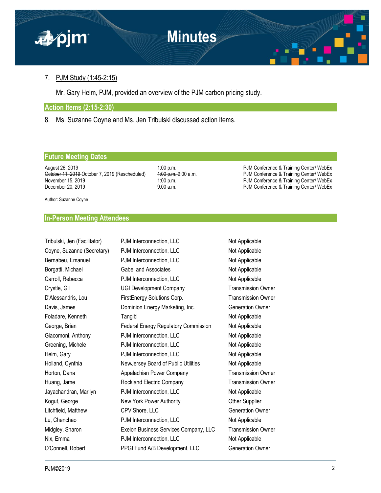

## 7. PJM Study (1:45-2:15)

Mr. Gary Helm, PJM, provided an overview of the PJM carbon pricing study.

#### **Action Items (2:15-2:30)**

8. Ms. Suzanne Coyne and Ms. Jen Tribulski discussed action items.

### **Future Meeting Dates**

August 26, 2019 1:00 p.m. 1:00 p.m.<br>  $\frac{1}{2}$  PJM Conference & Training Center/ WebEx<br>
PJM Conference & Training Center/ WebEx October 11, 2019 October 7, 2019 (Rescheduled) November 15, 2019 **1:00 p.m.** PJM Conference & Training Center/ WebEx December 20, 2019 **December 20, 2019** 9:00 a.m. 9:00 a.m. PJM Conference & Training Center/ WebEx

Author: Suzanne Coyne

### **In-Person Meeting Attendees**

| Tribulski, Jen (Facilitator) | PJM Interconnection, LLC              | Not Applicable            |
|------------------------------|---------------------------------------|---------------------------|
| Coyne, Suzanne (Secretary)   | PJM Interconnection, LLC              | Not Applicable            |
| Bernabeu, Emanuel            | PJM Interconnection, LLC              | Not Applicable            |
| Borgatti, Michael            | Gabel and Associates                  | Not Applicable            |
| Carroll, Rebecca             | PJM Interconnection, LLC              | Not Applicable            |
| Crystle, Gil                 | <b>UGI Development Company</b>        | <b>Transmission Owner</b> |
| D'Alessandris, Lou           | FirstEnergy Solutions Corp.           | <b>Transmission Owner</b> |
| Davis, James                 | Dominion Energy Marketing, Inc.       | <b>Generation Owner</b>   |
| Foladare, Kenneth            | Tangibl                               | Not Applicable            |
| George, Brian                | Federal Energy Regulatory Commission  | Not Applicable            |
| Giacomoni, Anthony           | PJM Interconnection, LLC              | Not Applicable            |
| Greening, Michele            | PJM Interconnection, LLC              | Not Applicable            |
| Helm, Gary                   | PJM Interconnection, LLC              | Not Applicable            |
| Holland, Cynthia             | NewJersey Board of Public Utilities   | Not Applicable            |
| Horton, Dana                 | Appalachian Power Company             | <b>Transmission Owner</b> |
| Huang, Jame                  | Rockland Electric Company             | <b>Transmission Owner</b> |
| Jayachandran, Marilyn        | PJM Interconnection, LLC              | Not Applicable            |
| Kogut, George                | New York Power Authority              | Other Supplier            |
| Litchfield, Matthew          | CPV Shore, LLC                        | <b>Generation Owner</b>   |
| Lu, Chenchao                 | PJM Interconnection, LLC              | Not Applicable            |
| Midgley, Sharon              | Exelon Business Services Company, LLC | <b>Transmission Owner</b> |
| Nix, Emma                    | PJM Interconnection, LLC              | Not Applicable            |
| O'Connell, Robert            | PPGI Fund A/B Development, LLC        | <b>Generation Owner</b>   |
|                              |                                       |                           |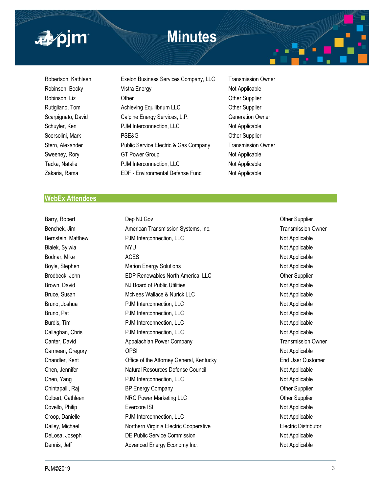

# **Minutes**



Robertson, Kathleen **Exelon Business Services Company, LLC** Transmission Owner Robinson, Becky Vistra Energy Not Applicable Robinson, Liz **CHACK CONTER CONTERNATION** Other Supplier Computer Content Content Computer Computer Computer Computer Computer Computer Computer Computer Computer Computer Computer Computer Computer Computer Computer Compu Rutigliano, Tom **Achieving Equilibrium LLC** Character Other Supplier Scarpignato, David Calpine Energy Services, L.P. Generation Owner Schuyler, Ken **PJM** Interconnection, LLC Not Applicable Scorsolini, Mark **PSE&G** PSE&G **Other Supplier** Other Supplier Stern, Alexander **Public Service Electric & Gas Company** Transmission Owner Sweeney, Rory **GT Power Group** GT Power Group Not Applicable Tacka, Natalie **PJM Interconnection, LLC** Not Applicable Zakaria, Rama EDF - Environmental Defense Fund Not Applicable

#### **WebEx Attendees**

Barry, Robert **Dep NJ.Gov** Dep NJ.Gov **Dep NJ.Gov** Dep ND Other Supplier Benchek, Jim **American Transmission Systems, Inc.** The Champion of Transmission Owner Bernstein, Matthew **PJM Interconnection, LLC** Not Applicable Bialek, Sylwia **NYU Not Applicable** NYU Not Applicable Bodnar, Mike ACES ACES Not Applicable Boyle, Stephen **Merion Energy Solutions** Not Applicable Not Applicable Brodbeck, John **EDP Renewables North America, LLC** Chronic Cher Supplier Brown, David **NJ Board of Public Utilities** Not Applicable Not Applicable Bruce, Susan McNees Wallace & Nurick LLC Not Applicable Bruno, Joshua **PJM Interconnection, LLC** Not Applicable Not Applicable Bruno, Pat **P**JM Interconnection, LLC **Not Applicable** Not Applicable Burdis, Tim **Example 2018** PJM Interconnection, LLC **Not Applicable** Not Applicable Callaghan, Chris **PJM Interconnection, LLC** Not Applicable Canter, David **Appalachian Power Company Company** Transmission Owner Carmean, Gregory **OPSI** OPSI 2009 **OPSI** 2009 **OPSI** Not Applicable Chandler, Kent **Chandler, Kent Chandler, Kentucky** Chandler, Kentucky **End User Customer** Chen, Jennifer **Natural Resources Defense Council** Not Applicable Not Applicable Chen, Yang **PJM Interconnection, LLC** Not Applicable Not Applicable Chintapalli, Raj **BP Energy Company Company Company** Other Supplier Colbert, Cathleen **NRG Power Marketing LLC NRG Power Marketing LLC COLOGIST** Other Supplier Covello, Philip **Evercore ISI** Evercore ISI Not Applicable Croop, Danielle **Not Applicable** PJM Interconnection, LLC Not Applicable Not Applicable Dailey, Michael **Northern Virginia Electric Cooperative Northern Virginia Electric Cooperative Electric Distributor** DeLosa, Joseph **DE Public Service Commission** De Applicable Not Applicable Dennis, Jeff **Advanced Energy Economy Inc.** Not Applicable Not Applicable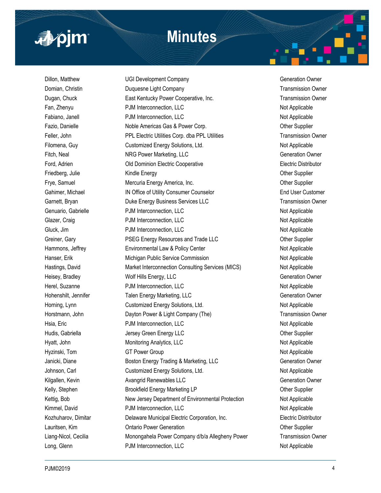

# **Minutes**

Dillon, Matthew **COLOGIST COMPANY COMPANY** Company Generation Owner Domian, Christin **Duquesne Light Company Transmission Owner Transmission Owner** Dugan, Chuck **East Kentucky Power Cooperative, Inc.** The East Xentucky Power Cooperative, Inc. The East Xentucky Power Cooperative, Inc. Fan, Zhenyu **PJM Interconnection, LLC** Not Applicable Not Applicable Fabiano, Janell **Example 20** PJM Interconnection, LLC **Not Applicable** Not Applicable Fazio, Danielle **Noble Americas Gas & Power Corp.** Communication of the Supplier Feller, John **PPL Electric Utilities Corp.** dba PPL Utilities Transmission Owner Filomena, Guy Customized Energy Solutions, Ltd. Not Applicable Not Applicable Fitch, Neal **NRG Power Marketing, LLC Contained Account Contained Account Contained Account Contained Account Contained Account Contained Account Contained Account Contained Account Contained Account Contained Account Co** Ford, Adrien **Electric Distributor** Old Dominion Electric Cooperative **Electric Distributor** Electric Distributor Friedberg, Julie **Kindle Energy Community Community Community** Cher Supplier Frye, Samuel **Mercuria Energy America, Inc.** The Mercuria Energy America, Inc. Changes and Other Supplier Gahimer, Michael **IN Office of Utility Consumer Counselor** End User Customer Customer Garnett, Bryan **Duke Energy Business Services LLC** Transmission Owner Genuario, Gabrielle **National PRIM Interconnection, LLC** Not Applicable Not Applicable Glazer, Craig **PJM Interconnection, LLC** Not Applicable Not Applicable Gluck, Jim **Example 2018** PJM Interconnection, LLC **CONSIDENT ACCONNOMICATE CONSIDENT ACCONNOMICATE CONSIDERATION** Greiner, Gary **PSEG Energy Resources and Trade LLC Containery Supplier** Other Supplier Hammons, Jeffrey **Environmental Law & Policy Center** Not Applicable Not Applicable Hanser, Erik Michigan Public Service Commission Not Applicable Hastings, David **Market Interconnection Consulting Services (MICS)** Not Applicable Heisey, Bradley **Mathems** Wolf Hills Energy, LLC **Communist Construction Construction Owner** Generation Owner Herel, Suzanne **National PRIM Interconnection, LLC** Not Applicable Not Applicable Hohenshilt, Jennifer Talen Energy Marketing, LLC Generation Owner Horning, Lynn **Customized Energy Solutions, Ltd.** Not Applicable Not Applicable Horstmann, John **Dayton Power & Light Company (The)** Transmission Owner Hsia, Eric **Not Applicable** PJM Interconnection, LLC Not Applicable Not Applicable Hudis, Gabriella **Acceleration Contract Acceleration** Jersey Green Energy LLC **Contract Contract Acceleration** Other Supplier Hyatt, John **Monitoring Analytics, LLC** Not Applicable Not Applicable Hyzinski, Tom GT Power Group Not Applicable Not Applicable Janicki, Diane **Boston Energy Trading & Marketing, LLC** Generation Owner Johnson, Carl **Customized Energy Solutions, Ltd.** Not Applicable Not Applicable Kilgallen, Kevin **Avangrid Renewables LLC Communist Communist Communist Communist Communist Communist Communist Communist Communist Communist Communist Communist Communist Communist Communist Communist Communist Communis** Kelly, Stephen **Brookfield Energy Marketing LP** Character Supplier Kettig, Bob New Jersey Department of Environmental Protection Not Applicable Kimmel, David **Not Applicable** PJM Interconnection, LLC Not Applicable Not Applicable Kozhuharov, Dimitar **Delaware Municipal Electric Corporation**, Inc. **Electric Distributor** Lauritsen, Kim **Channel Contario Power Generation** Contant Contant Contant Contant Contant Contant Contant Conta Liang-Nicol, Cecilia **Monongahela Power Company d/b/a Allegheny Power** Transmission Owner Long, Glenn **PJM Interconnection, LLC** Not Applicable Not Applicable